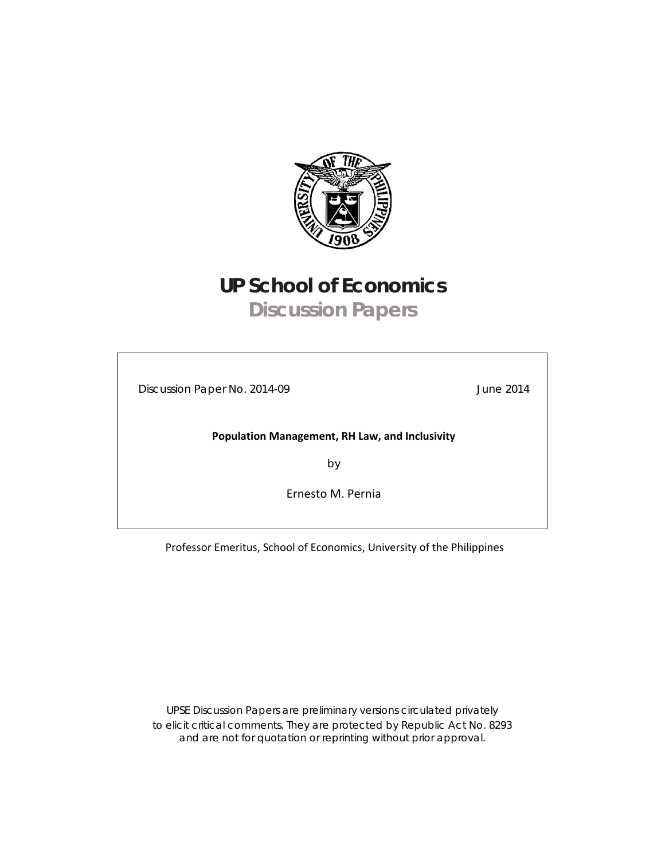

# **UP School of Economics Discussion Papers**

Discussion Paper No. 2014-09 June 2014

**Population Management, RH Law, and Inclusivity**

by

Ernesto M. Pernia

Professor Emeritus, School of Economics, University of the Philippines

UPSE Discussion Papers are preliminary versions circulated privately to elicit critical comments. They are protected by Republic Act No. 8293 and are not for quotation or reprinting without prior approval.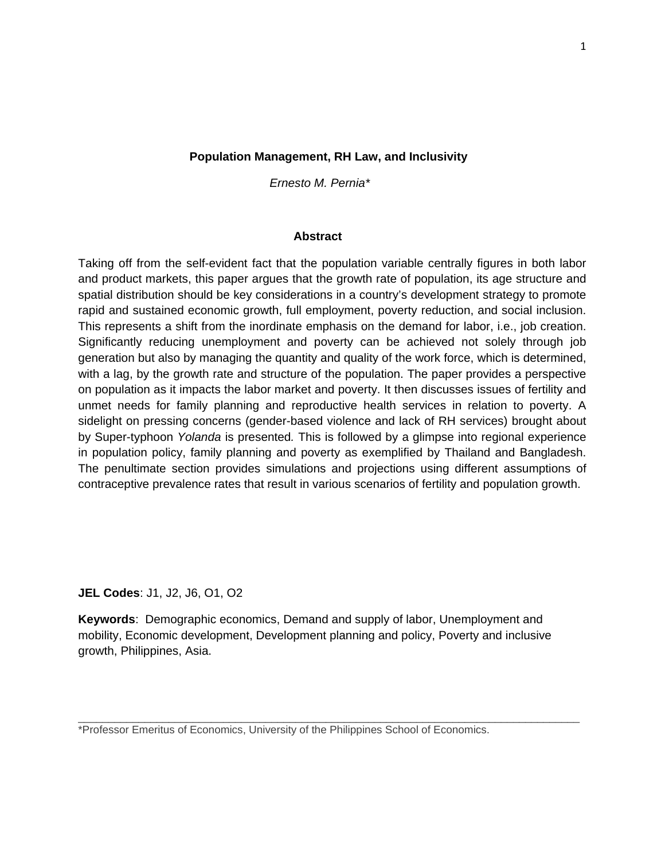### **Population Management, RH Law, and Inclusivity**

*Ernesto M. Pernia\**

#### **Abstract**

Taking off from the self-evident fact that the population variable centrally figures in both labor and product markets, this paper argues that the growth rate of population, its age structure and spatial distribution should be key considerations in a country's development strategy to promote rapid and sustained economic growth, full employment, poverty reduction, and social inclusion. This represents a shift from the inordinate emphasis on the demand for labor, i.e., job creation. Significantly reducing unemployment and poverty can be achieved not solely through job generation but also by managing the quantity and quality of the work force, which is determined, with a lag, by the growth rate and structure of the population. The paper provides a perspective on population as it impacts the labor market and poverty. It then discusses issues of fertility and unmet needs for family planning and reproductive health services in relation to poverty. A sidelight on pressing concerns (gender-based violence and lack of RH services) brought about by Super-typhoon *Yolanda* is presented*.* This is followed by a glimpse into regional experience in population policy, family planning and poverty as exemplified by Thailand and Bangladesh. The penultimate section provides simulations and projections using different assumptions of contraceptive prevalence rates that result in various scenarios of fertility and population growth.

### **JEL Codes**: J1, J2, J6, O1, O2

**Keywords**: Demographic economics, Demand and supply of labor, Unemployment and mobility, Economic development, Development planning and policy, Poverty and inclusive growth, Philippines, Asia.

\_\_\_\_\_\_\_\_\_\_\_\_\_\_\_\_\_\_\_\_\_\_\_\_\_\_\_\_\_\_\_\_\_\_\_\_\_\_\_\_\_\_\_\_\_\_\_\_\_\_\_\_\_\_\_\_\_\_\_\_\_\_\_\_\_\_\_\_\_\_\_\_\_\_\_\_\_\_\_\_\_\_\_

\*Professor Emeritus of Economics, University of the Philippines School of Economics.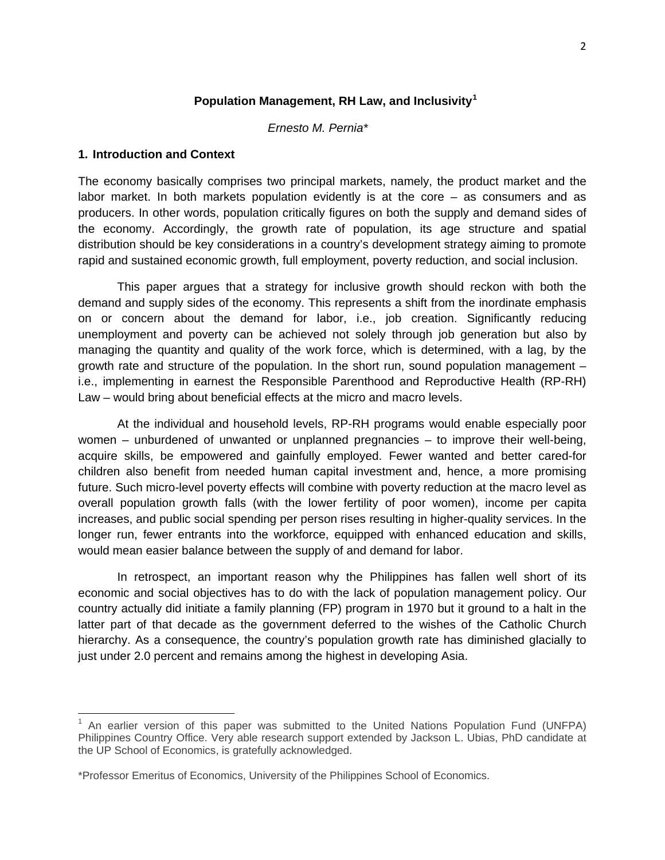### **Population Management, RH Law, and Inclusivity[1](#page-2-0)**

 *Ernesto M. Pernia\**

#### **1. Introduction and Context**

The economy basically comprises two principal markets, namely, the product market and the labor market. In both markets population evidently is at the core – as consumers and as producers. In other words, population critically figures on both the supply and demand sides of the economy. Accordingly, the growth rate of population, its age structure and spatial distribution should be key considerations in a country's development strategy aiming to promote rapid and sustained economic growth, full employment, poverty reduction, and social inclusion.

This paper argues that a strategy for inclusive growth should reckon with both the demand and supply sides of the economy. This represents a shift from the inordinate emphasis on or concern about the demand for labor, i.e., job creation. Significantly reducing unemployment and poverty can be achieved not solely through job generation but also by managing the quantity and quality of the work force, which is determined, with a lag, by the growth rate and structure of the population. In the short run, sound population management – i.e., implementing in earnest the Responsible Parenthood and Reproductive Health (RP-RH) Law – would bring about beneficial effects at the micro and macro levels.

At the individual and household levels, RP-RH programs would enable especially poor women – unburdened of unwanted or unplanned pregnancies – to improve their well-being, acquire skills, be empowered and gainfully employed. Fewer wanted and better cared-for children also benefit from needed human capital investment and, hence, a more promising future. Such micro-level poverty effects will combine with poverty reduction at the macro level as overall population growth falls (with the lower fertility of poor women), income per capita increases, and public social spending per person rises resulting in higher-quality services. In the longer run, fewer entrants into the workforce, equipped with enhanced education and skills, would mean easier balance between the supply of and demand for labor.

In retrospect, an important reason why the Philippines has fallen well short of its economic and social objectives has to do with the lack of population management policy. Our country actually did initiate a family planning (FP) program in 1970 but it ground to a halt in the latter part of that decade as the government deferred to the wishes of the Catholic Church hierarchy. As a consequence, the country's population growth rate has diminished glacially to just under 2.0 percent and remains among the highest in developing Asia.

<span id="page-2-0"></span> $<sup>1</sup>$  An earlier version of this paper was submitted to the United Nations Population Fund (UNFPA)</sup> Philippines Country Office. Very able research support extended by Jackson L. Ubias, PhD candidate at the UP School of Economics, is gratefully acknowledged.

<sup>\*</sup>Professor Emeritus of Economics, University of the Philippines School of Economics.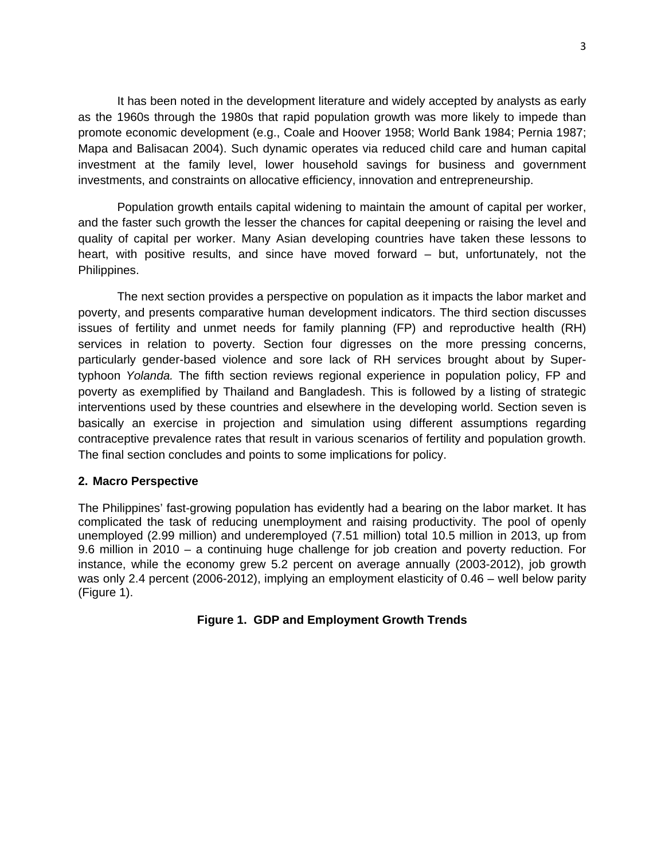It has been noted in the development literature and widely accepted by analysts as early as the 1960s through the 1980s that rapid population growth was more likely to impede than promote economic development (e.g., Coale and Hoover 1958; World Bank 1984; Pernia 1987; Mapa and Balisacan 2004). Such dynamic operates via reduced child care and human capital investment at the family level, lower household savings for business and government investments, and constraints on allocative efficiency, innovation and entrepreneurship.

Population growth entails capital widening to maintain the amount of capital per worker, and the faster such growth the lesser the chances for capital deepening or raising the level and quality of capital per worker. Many Asian developing countries have taken these lessons to heart, with positive results, and since have moved forward – but, unfortunately, not the Philippines.

The next section provides a perspective on population as it impacts the labor market and poverty, and presents comparative human development indicators. The third section discusses issues of fertility and unmet needs for family planning (FP) and reproductive health (RH) services in relation to poverty. Section four digresses on the more pressing concerns, particularly gender-based violence and sore lack of RH services brought about by Supertyphoon *Yolanda.* The fifth section reviews regional experience in population policy, FP and poverty as exemplified by Thailand and Bangladesh. This is followed by a listing of strategic interventions used by these countries and elsewhere in the developing world. Section seven is basically an exercise in projection and simulation using different assumptions regarding contraceptive prevalence rates that result in various scenarios of fertility and population growth. The final section concludes and points to some implications for policy.

### **2. Macro Perspective**

The Philippines' fast-growing population has evidently had a bearing on the labor market. It has complicated the task of reducing unemployment and raising productivity. The pool of openly unemployed (2.99 million) and underemployed (7.51 million) total 10.5 million in 2013, up from 9.6 million in 2010 – a continuing huge challenge for job creation and poverty reduction. For instance, while the economy grew 5.2 percent on average annually (2003-2012), job growth was only 2.4 percent (2006-2012), implying an employment elasticity of 0.46 – well below parity (Figure 1).

## **Figure 1. GDP and Employment Growth Trends**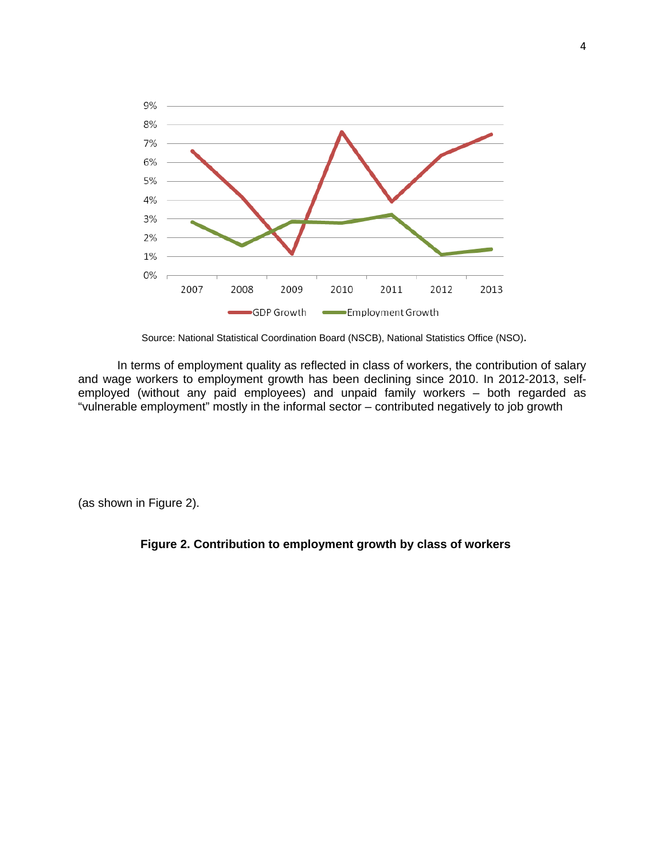

Source: National Statistical Coordination Board (NSCB), National Statistics Office (NSO).

In terms of employment quality as reflected in class of workers, the contribution of salary and wage workers to employment growth has been declining since 2010. In 2012-2013, selfemployed (without any paid employees) and unpaid family workers – both regarded as "vulnerable employment" mostly in the informal sector – contributed negatively to job growth

(as shown in Figure 2).

## **Figure 2. Contribution to employment growth by class of workers**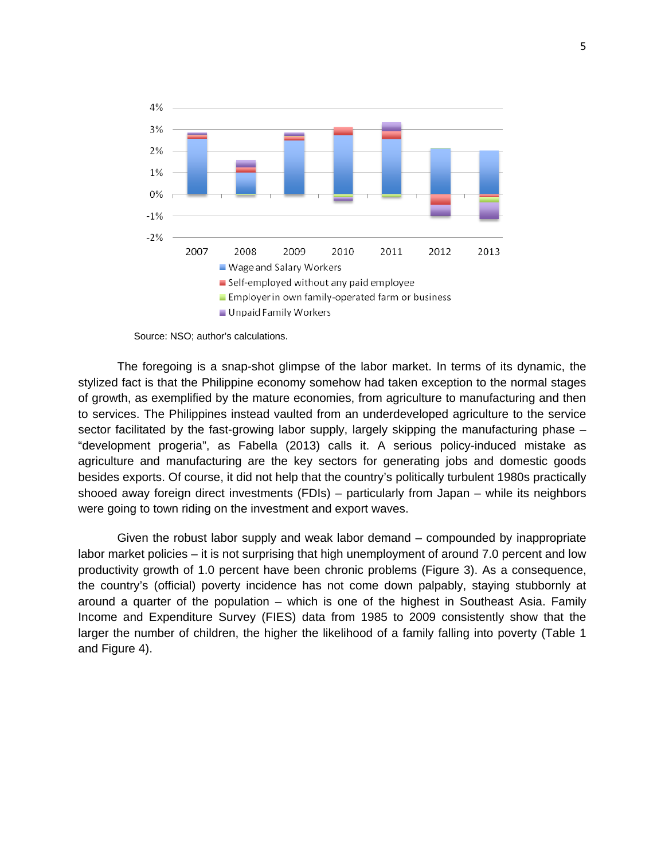

Source: NSO; author's calculations.

The foregoing is a snap-shot glimpse of the labor market. In terms of its dynamic, the stylized fact is that the Philippine economy somehow had taken exception to the normal stages of growth, as exemplified by the mature economies, from agriculture to manufacturing and then to services. The Philippines instead vaulted from an underdeveloped agriculture to the service sector facilitated by the fast-growing labor supply, largely skipping the manufacturing phase -"development progeria", as Fabella (2013) calls it. A serious policy-induced mistake as agriculture and manufacturing are the key sectors for generating jobs and domestic goods besides exports. Of course, it did not help that the country's politically turbulent 1980s practically shooed away foreign direct investments (FDIs) – particularly from Japan – while its neighbors were going to town riding on the investment and export waves.

Given the robust labor supply and weak labor demand – compounded by inappropriate labor market policies – it is not surprising that high unemployment of around 7.0 percent and low productivity growth of 1.0 percent have been chronic problems (Figure 3). As a consequence, the country's (official) poverty incidence has not come down palpably, staying stubbornly at around a quarter of the population – which is one of the highest in Southeast Asia. Family Income and Expenditure Survey (FIES) data from 1985 to 2009 consistently show that the larger the number of children, the higher the likelihood of a family falling into poverty (Table 1 and Figure 4).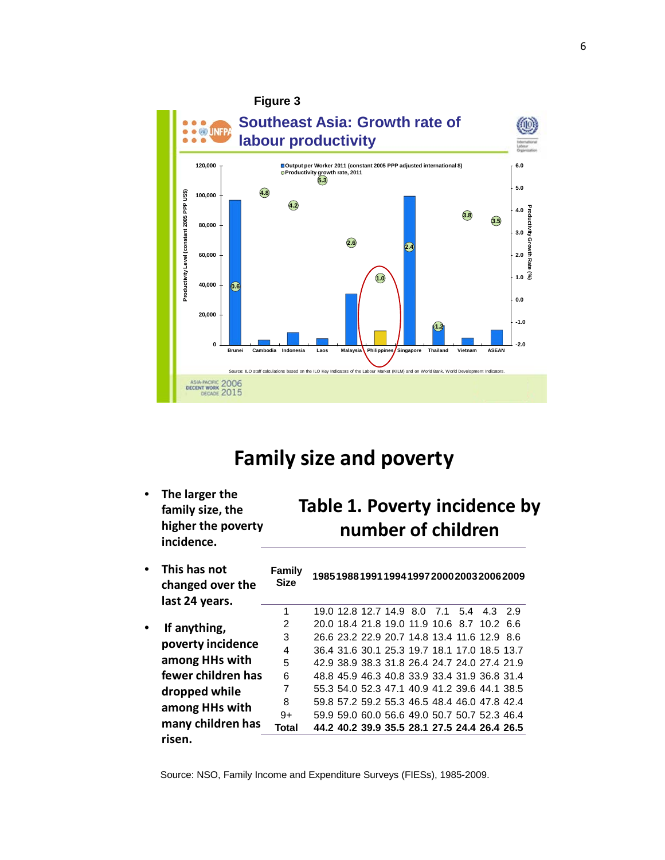

## **Family size and poverty**

• **The larger the family size, the higher the poverty incidence.**

## **Table 1. Poverty incidence by number of children**

| This has not<br>changed over the  | Family<br><b>Size</b> | 198519881991199419972000200320062009         |
|-----------------------------------|-----------------------|----------------------------------------------|
| last 24 years.                    |                       |                                              |
|                                   | 1                     | 19.0 12.8 12.7 14.9 8.0 7.1 5.4 4.3 2.9      |
| If anything,<br>poverty incidence | 2                     | 20.0 18.4 21.8 19.0 11.9 10.6 8.7 10.2 6.6   |
|                                   | 3                     | 26.6 23.2 22.9 20.7 14.8 13.4 11.6 12.9 8.6  |
|                                   | 4                     | 36.4 31.6 30.1 25.3 19.7 18.1 17.0 18.5 13.7 |
| among HHs with                    | 5                     | 42.9 38.9 38.3 31.8 26.4 24.7 24.0 27.4 21.9 |
| fewer children has                | 6                     | 48.8 45.9 46.3 40.8 33.9 33.4 31.9 36.8 31.4 |
| dropped while                     | 7                     | 55.3 54.0 52.3 47.1 40.9 41.2 39.6 44.1 38.5 |
| among HHs with                    | 8                     | 59.8 57.2 59.2 55.3 46.5 48.4 46.0 47.8 42.4 |
|                                   | 9+                    | 59.9 59.0 60.0 56.6 49.0 50.7 50.7 52.3 46.4 |
| many children has                 | Total                 | 44.2 40.2 39.9 35.5 28.1 27.5 24.4 26.4 26.5 |
| risen.                            |                       |                                              |

Source: NSO, Family Income and Expenditure Surveys (FIESs), 1985-2009.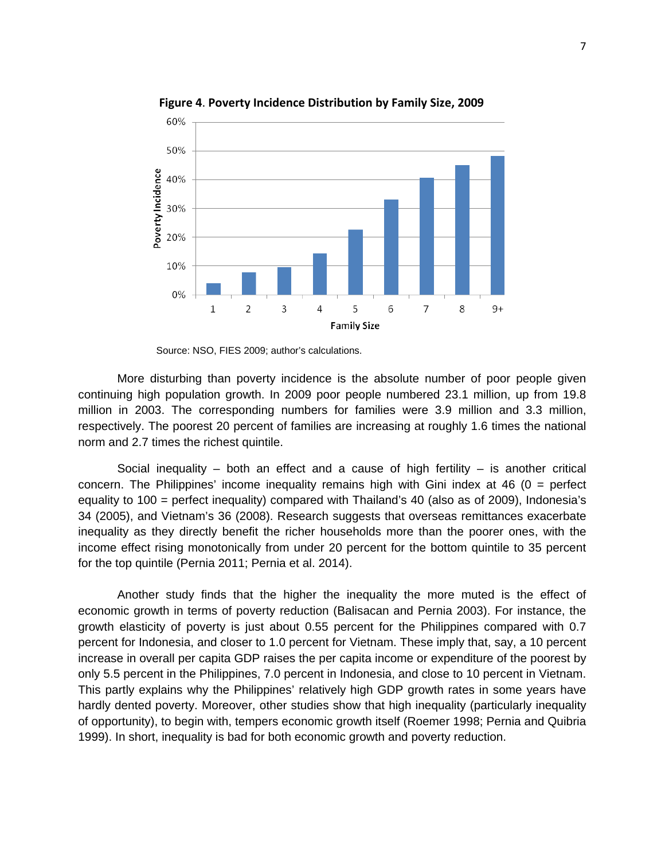

**Figure 4**. **Poverty Incidence Distribution by Family Size, 2009**

Source: NSO, FIES 2009; author's calculations.

More disturbing than poverty incidence is the absolute number of poor people given continuing high population growth. In 2009 poor people numbered 23.1 million, up from 19.8 million in 2003. The corresponding numbers for families were 3.9 million and 3.3 million, respectively. The poorest 20 percent of families are increasing at roughly 1.6 times the national norm and 2.7 times the richest quintile.

Social inequality – both an effect and a cause of high fertility – is another critical concern. The Philippines' income inequality remains high with Gini index at  $46$  ( $0 =$  perfect equality to 100 = perfect inequality) compared with Thailand's 40 (also as of 2009), Indonesia's 34 (2005), and Vietnam's 36 (2008). Research suggests that overseas remittances exacerbate inequality as they directly benefit the richer households more than the poorer ones, with the income effect rising monotonically from under 20 percent for the bottom quintile to 35 percent for the top quintile (Pernia 2011; Pernia et al. 2014).

Another study finds that the higher the inequality the more muted is the effect of economic growth in terms of poverty reduction (Balisacan and Pernia 2003). For instance, the growth elasticity of poverty is just about 0.55 percent for the Philippines compared with 0.7 percent for Indonesia, and closer to 1.0 percent for Vietnam. These imply that, say, a 10 percent increase in overall per capita GDP raises the per capita income or expenditure of the poorest by only 5.5 percent in the Philippines, 7.0 percent in Indonesia, and close to 10 percent in Vietnam. This partly explains why the Philippines' relatively high GDP growth rates in some years have hardly dented poverty. Moreover, other studies show that high inequality (particularly inequality of opportunity), to begin with, tempers economic growth itself (Roemer 1998; Pernia and Quibria 1999). In short, inequality is bad for both economic growth and poverty reduction.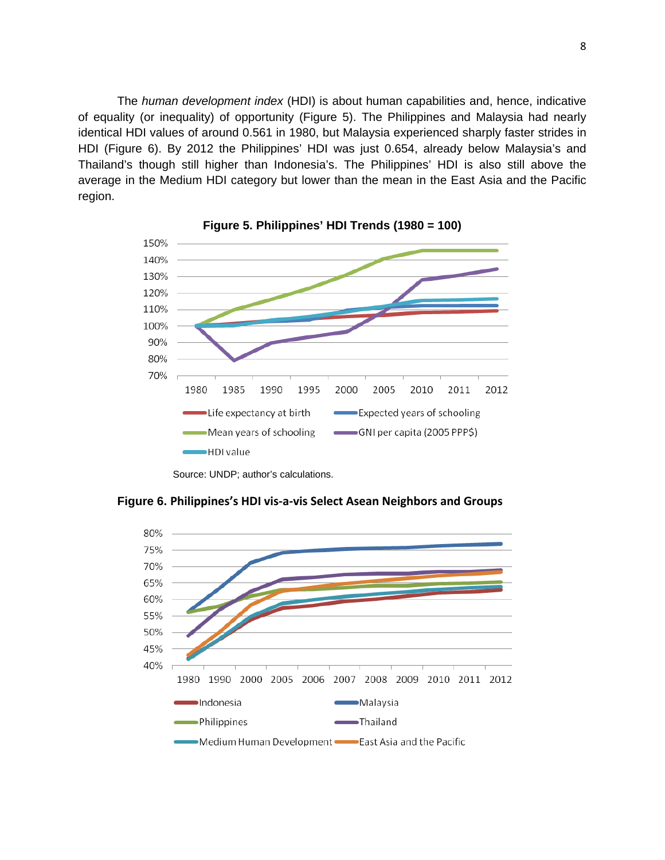The *human development index* (HDI) is about human capabilities and, hence, indicative of equality (or inequality) of opportunity (Figure 5). The Philippines and Malaysia had nearly identical HDI values of around 0.561 in 1980, but Malaysia experienced sharply faster strides in HDI (Figure 6). By 2012 the Philippines' HDI was just 0.654, already below Malaysia's and Thailand's though still higher than Indonesia's. The Philippines' HDI is also still above the average in the Medium HDI category but lower than the mean in the East Asia and the Pacific region.





Source: UNDP; author's calculations.

**Figure 6. Philippines's HDI vis-a-vis Select Asean Neighbors and Groups**

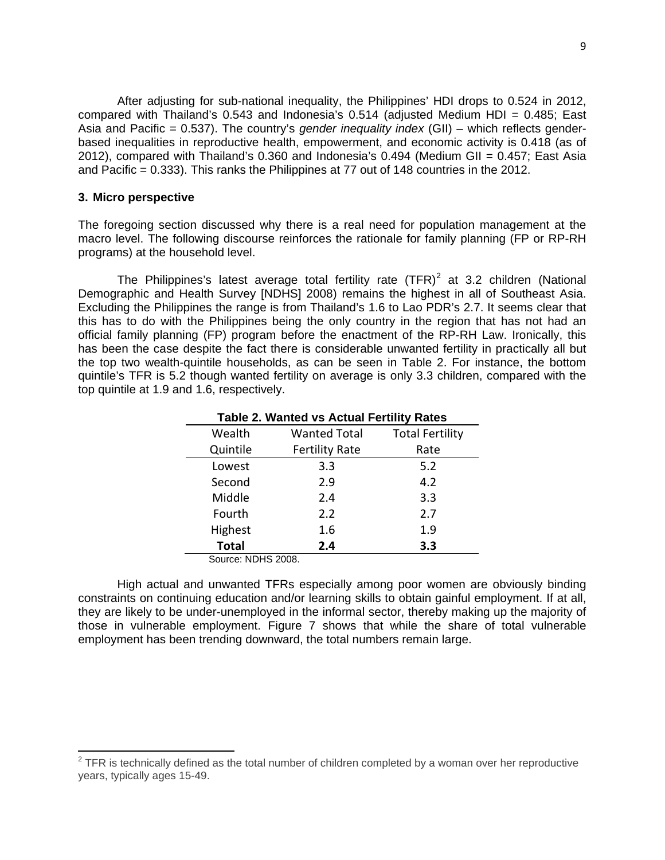After adjusting for sub-national inequality, the Philippines' HDI drops to 0.524 in 2012, compared with Thailand's 0.543 and Indonesia's 0.514 (adjusted Medium HDI = 0.485; East Asia and Pacific = 0.537). The country's *gender inequality index* (GII) – which reflects genderbased inequalities in reproductive health, empowerment, and economic activity is 0.418 (as of 2012), compared with Thailand's 0.360 and Indonesia's 0.494 (Medium GII = 0.457; East Asia and Pacific = 0.333). This ranks the Philippines at 77 out of 148 countries in the 2012.

#### **3. Micro perspective**

The foregoing section discussed why there is a real need for population management at the macro level. The following discourse reinforces the rationale for family planning (FP or RP-RH programs) at the household level.

The Philippines's latest average total fertility rate  $(TFR)^2$  $(TFR)^2$  at 3.2 children (National Demographic and Health Survey [NDHS] 2008) remains the highest in all of Southeast Asia. Excluding the Philippines the range is from Thailand's 1.6 to Lao PDR's 2.7. It seems clear that this has to do with the Philippines being the only country in the region that has not had an official family planning (FP) program before the enactment of the RP-RH Law. Ironically, this has been the case despite the fact there is considerable unwanted fertility in practically all but the top two wealth-quintile households, as can be seen in Table 2. For instance, the bottom quintile's TFR is 5.2 though wanted fertility on average is only 3.3 children, compared with the top quintile at 1.9 and 1.6, respectively.

| <b>Table 2. Wanted vs Actual Fertility Rates</b> |                       |                        |  |  |  |
|--------------------------------------------------|-----------------------|------------------------|--|--|--|
| Wealth                                           | <b>Wanted Total</b>   | <b>Total Fertility</b> |  |  |  |
| Quintile                                         | <b>Fertility Rate</b> | Rate                   |  |  |  |
| Lowest                                           | 3.3                   | 5.2                    |  |  |  |
| Second                                           | 2.9                   | 4.2                    |  |  |  |
| Middle                                           | 2.4                   | 3.3                    |  |  |  |
| Fourth                                           | 2.2                   | 2.7                    |  |  |  |
| Highest                                          | 1.6                   | 1.9                    |  |  |  |
| <b>Total</b>                                     | 2.4                   | 3.3                    |  |  |  |

Source: NDHS 2008.

High actual and unwanted TFRs especially among poor women are obviously binding constraints on continuing education and/or learning skills to obtain gainful employment. If at all, they are likely to be under-unemployed in the informal sector, thereby making up the majority of those in vulnerable employment. Figure 7 shows that while the share of total vulnerable employment has been trending downward, the total numbers remain large.

<span id="page-9-0"></span> $2$  TFR is technically defined as the total number of children completed by a woman over her reproductive years, typically ages 15-49.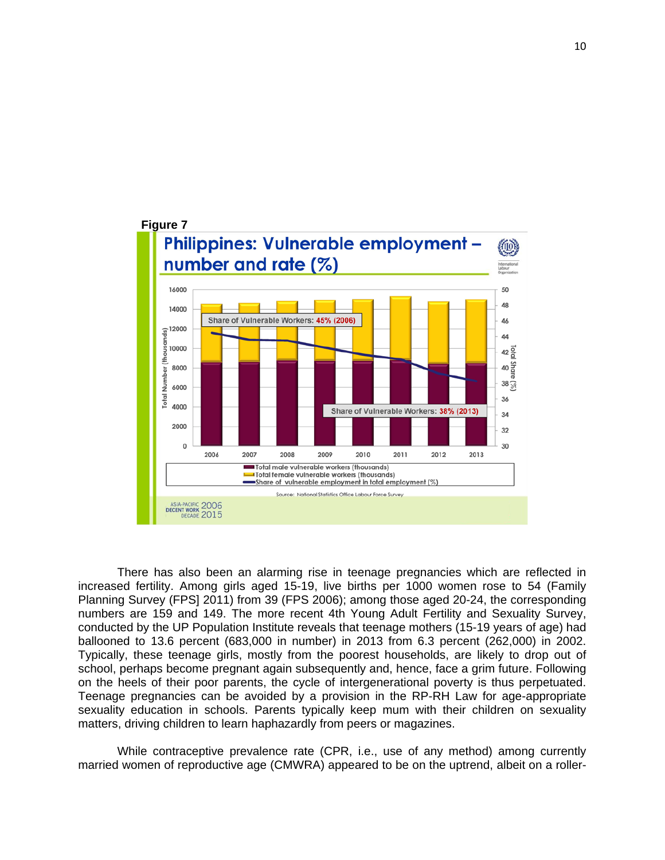

There has also been an alarming rise in teenage pregnancies which are reflected in increased fertility. Among girls aged 15-19, live births per 1000 women rose to 54 (Family Planning Survey (FPS] 2011) from 39 (FPS 2006); among those aged 20-24, the corresponding numbers are 159 and 149. The more recent 4th Young Adult Fertility and Sexuality Survey, conducted by the UP Population Institute reveals that teenage mothers (15-19 years of age) had ballooned to 13.6 percent (683,000 in number) in 2013 from 6.3 percent (262,000) in 2002. Typically, these teenage girls, mostly from the poorest households, are likely to drop out of school, perhaps become pregnant again subsequently and, hence, face a grim future. Following on the heels of their poor parents, the cycle of intergenerational poverty is thus perpetuated. Teenage pregnancies can be avoided by a provision in the RP-RH Law for age-appropriate sexuality education in schools. Parents typically keep mum with their children on sexuality matters, driving children to learn haphazardly from peers or magazines.

While contraceptive prevalence rate (CPR, i.e., use of any method) among currently married women of reproductive age (CMWRA) appeared to be on the uptrend, albeit on a roller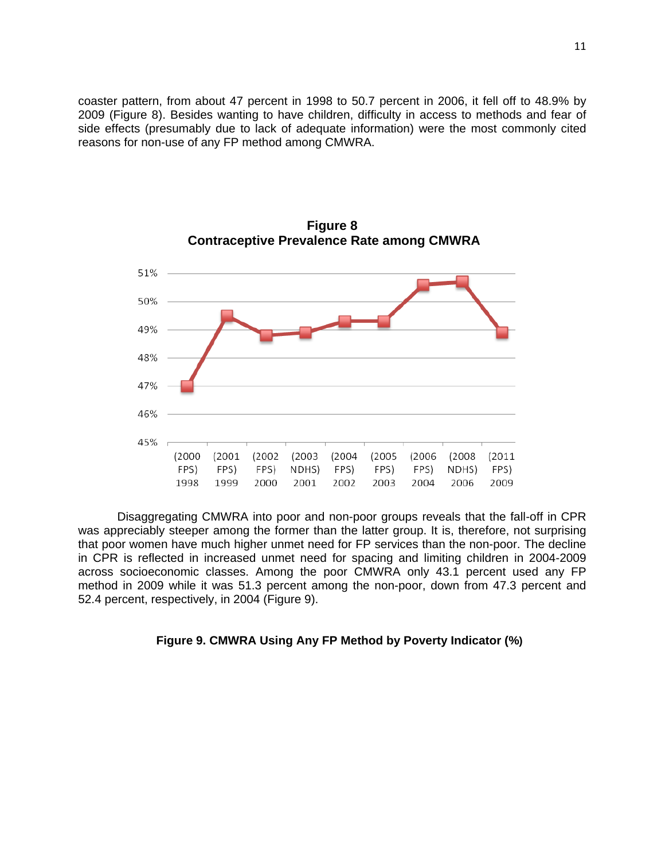coaster pattern, from about 47 percent in 1998 to 50.7 percent in 2006, it fell off to 48.9% by 2009 (Figure 8). Besides wanting to have children, difficulty in access to methods and fear of side effects (presumably due to lack of adequate information) were the most commonly cited reasons for non-use of any FP method among CMWRA.



**Figure 8 Contraceptive Prevalence Rate among CMWRA**

Disaggregating CMWRA into poor and non-poor groups reveals that the fall-off in CPR was appreciably steeper among the former than the latter group. It is, therefore, not surprising that poor women have much higher unmet need for FP services than the non-poor. The decline in CPR is reflected in increased unmet need for spacing and limiting children in 2004-2009 across socioeconomic classes. Among the poor CMWRA only 43.1 percent used any FP method in 2009 while it was 51.3 percent among the non-poor, down from 47.3 percent and 52.4 percent, respectively, in 2004 (Figure 9).

#### **Figure 9. CMWRA Using Any FP Method by Poverty Indicator (%)**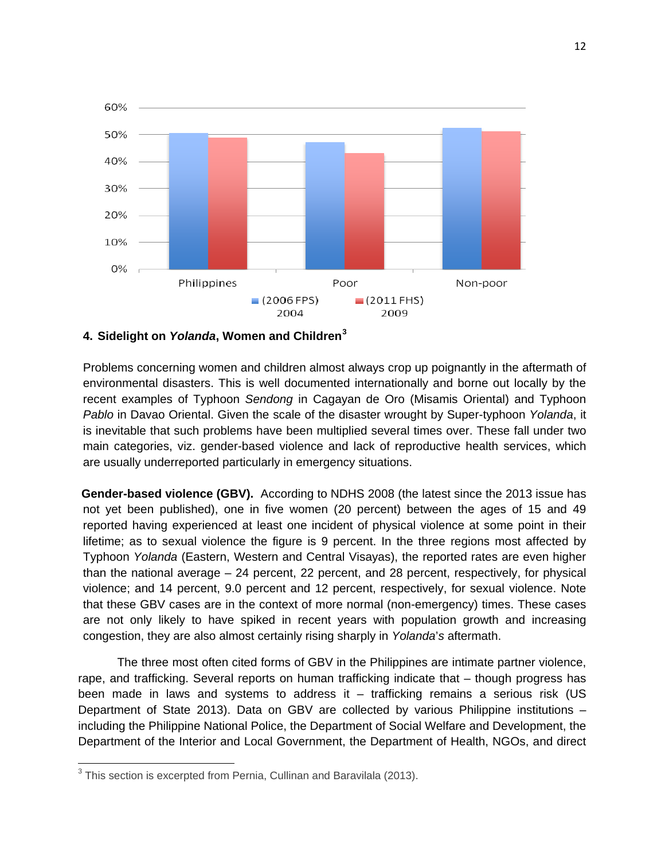

### **4. Sidelight on** *Yolanda***, Women and Children[3](#page-12-0)**

Problems concerning women and children almost always crop up poignantly in the aftermath of environmental disasters. This is well documented internationally and borne out locally by the recent examples of Typhoon *Sendong* in Cagayan de Oro (Misamis Oriental) and Typhoon *Pablo* in Davao Oriental. Given the scale of the disaster wrought by Super-typhoon *Yolanda*, it is inevitable that such problems have been multiplied several times over. These fall under two main categories, viz. gender-based violence and lack of reproductive health services, which are usually underreported particularly in emergency situations.

**Gender-based violence (GBV).** According to NDHS 2008 (the latest since the 2013 issue has not yet been published), one in five women (20 percent) between the ages of 15 and 49 reported having experienced at least one incident of physical violence at some point in their lifetime; as to sexual violence the figure is 9 percent. In the three regions most affected by Typhoon *Yolanda* (Eastern, Western and Central Visayas), the reported rates are even higher than the national average – 24 percent, 22 percent, and 28 percent, respectively, for physical violence; and 14 percent, 9.0 percent and 12 percent, respectively, for sexual violence. Note that these GBV cases are in the context of more normal (non-emergency) times. These cases are not only likely to have spiked in recent years with population growth and increasing congestion, they are also almost certainly rising sharply in *Yolanda*'*s* aftermath.

The three most often cited forms of GBV in the Philippines are intimate partner violence, rape, and trafficking. Several reports on human trafficking indicate that – though progress has been made in laws and systems to address it – trafficking remains a serious risk (US Department of State 2013). Data on GBV are collected by various Philippine institutions – including the Philippine National Police, the Department of Social Welfare and Development, the Department of the Interior and Local Government, the Department of Health, NGOs, and direct

<span id="page-12-0"></span><sup>&</sup>lt;sup>3</sup> This section is excerpted from Pernia, Cullinan and Baravilala (2013).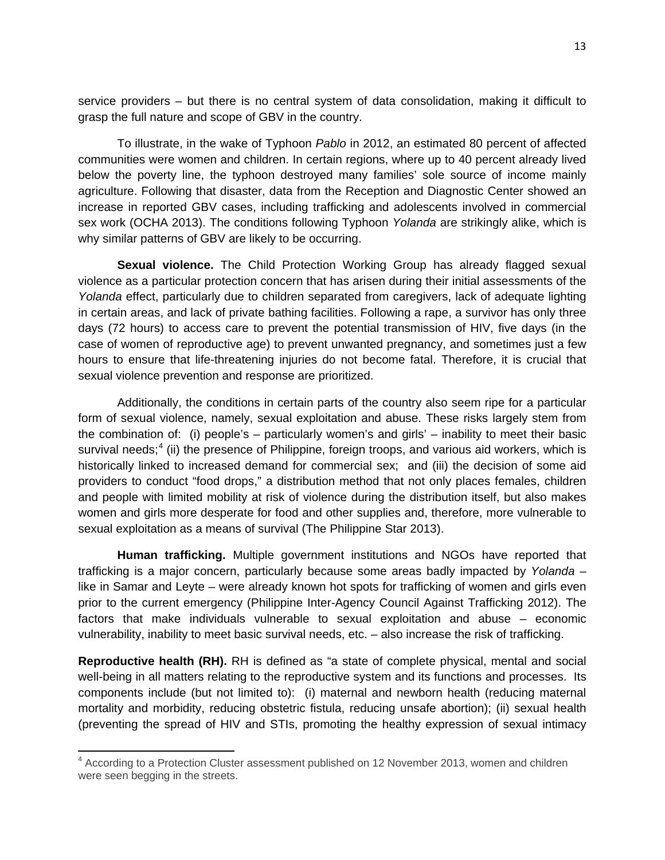service providers – but there is no central system of data consolidation, making it difficult to grasp the full nature and scope of GBV in the country.

To illustrate, in the wake of Typhoon *Pablo* in 2012, an estimated 80 percent of affected communities were women and children. In certain regions, where up to 40 percent already lived below the poverty line, the typhoon destroyed many families' sole source of income mainly agriculture. Following that disaster, data from the Reception and Diagnostic Center showed an increase in reported GBV cases, including trafficking and adolescents involved in commercial sex work (OCHA 2013). The conditions following Typhoon *Yolanda* are strikingly alike, which is why similar patterns of GBV are likely to be occurring.

**Sexual violence.** The Child Protection Working Group has already flagged sexual violence as a particular protection concern that has arisen during their initial assessments of the *Yolanda* effect, particularly due to children separated from caregivers, lack of adequate lighting in certain areas, and lack of private bathing facilities. Following a rape, a survivor has only three days (72 hours) to access care to prevent the potential transmission of HIV, five days (in the case of women of reproductive age) to prevent unwanted pregnancy, and sometimes just a few hours to ensure that life-threatening injuries do not become fatal. Therefore, it is crucial that sexual violence prevention and response are prioritized.

Additionally, the conditions in certain parts of the country also seem ripe for a particular form of sexual violence, namely, sexual exploitation and abuse. These risks largely stem from the combination of: (i) people's – particularly women's and girls' – inability to meet their basic survival needs;<sup>[4](#page-13-0)</sup> (ii) the presence of Philippine, foreign troops, and various aid workers, which is historically linked to increased demand for commercial sex; and (iii) the decision of some aid providers to conduct "food drops," a distribution method that not only places females, children and people with limited mobility at risk of violence during the distribution itself, but also makes women and girls more desperate for food and other supplies and, therefore, more vulnerable to sexual exploitation as a means of survival (The Philippine Star 2013).

**Human trafficking.** Multiple government institutions and NGOs have reported that trafficking is a major concern, particularly because some areas badly impacted by *Yolanda* – like in Samar and Leyte – were already known hot spots for trafficking of women and girls even prior to the current emergency (Philippine Inter-Agency Council Against Trafficking 2012). The factors that make individuals vulnerable to sexual exploitation and abuse – economic vulnerability, inability to meet basic survival needs, etc. – also increase the risk of trafficking.

**Reproductive health (RH).** RH is defined as "a state of complete physical, mental and social well-being in all matters relating to the reproductive system and its functions and processes. Its components include (but not limited to): (i) maternal and newborn health (reducing maternal mortality and morbidity, reducing obstetric fistula, reducing unsafe abortion); (ii) sexual health (preventing the spread of HIV and STIs, promoting the healthy expression of sexual intimacy

<span id="page-13-0"></span><sup>&</sup>lt;sup>4</sup> According to a Protection Cluster assessment published on 12 November 2013, women and children were seen begging in the streets.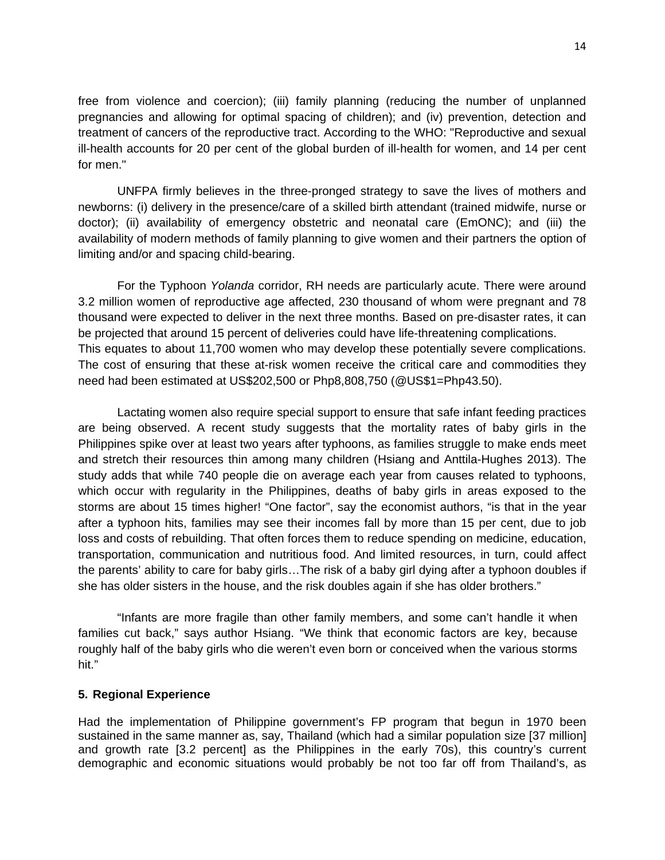free from violence and coercion); (iii) family planning (reducing the number of unplanned pregnancies and allowing for optimal spacing of children); and (iv) prevention, detection and treatment of cancers of the reproductive tract. According to the WHO: "Reproductive and sexual ill-health accounts for 20 per cent of the global burden of ill-health for women, and 14 per cent for men."

UNFPA firmly believes in the three-pronged strategy to save the lives of mothers and newborns: (i) delivery in the presence/care of a skilled birth attendant (trained midwife, nurse or doctor); (ii) availability of emergency obstetric and neonatal care (EmONC); and (iii) the availability of modern methods of family planning to give women and their partners the option of limiting and/or and spacing child-bearing.

For the Typhoon *Yolanda* corridor, RH needs are particularly acute. There were around 3.2 million women of reproductive age affected, 230 thousand of whom were pregnant and 78 thousand were expected to deliver in the next three months. Based on pre-disaster rates, it can be projected that around 15 percent of deliveries could have life-threatening complications. This equates to about 11,700 women who may develop these potentially severe complications. The cost of ensuring that these at-risk women receive the critical care and commodities they need had been estimated at US\$202,500 or Php8,808,750 (@US\$1=Php43.50).

Lactating women also require special support to ensure that safe infant feeding practices are being observed. A recent study suggests that the mortality rates of baby girls in the Philippines spike over at least two years after typhoons, as families struggle to make ends meet and stretch their resources thin among many children (Hsiang and Anttila-Hughes 2013). [The](https://newscenter.berkeley.edu/2013/11/19/report-details-high-costs-of-philippine-typhoons-for-families-baby-girls/)  [study](https://newscenter.berkeley.edu/2013/11/19/report-details-high-costs-of-philippine-typhoons-for-families-baby-girls/) adds that while 740 people die on average each year from causes related to typhoons, which occur with regularity in the Philippines, deaths of baby girls in areas exposed to the storms are about 15 times higher! "One factor", say the economist authors, "is that in the year after a typhoon hits, families may see their incomes fall by more than 15 per cent, due to job loss and costs of rebuilding. That often forces them to reduce spending on medicine, education, transportation, communication and nutritious food. And limited resources, in turn, could affect the parents' ability to care for baby girls…The risk of a baby girl dying after a typhoon doubles if she has older sisters in the house, and the risk doubles again if she has older brothers."

"Infants are more fragile than other family members, and some can't handle it when families cut back," says author Hsiang. "We think that economic factors are key, because roughly half of the baby girls who die weren't even born or conceived when the various storms hit."

### **5. Regional Experience**

Had the implementation of Philippine government's FP program that begun in 1970 been sustained in the same manner as, say, Thailand (which had a similar population size [37 million] and growth rate [3.2 percent] as the Philippines in the early 70s), this country's current demographic and economic situations would probably be not too far off from Thailand's, as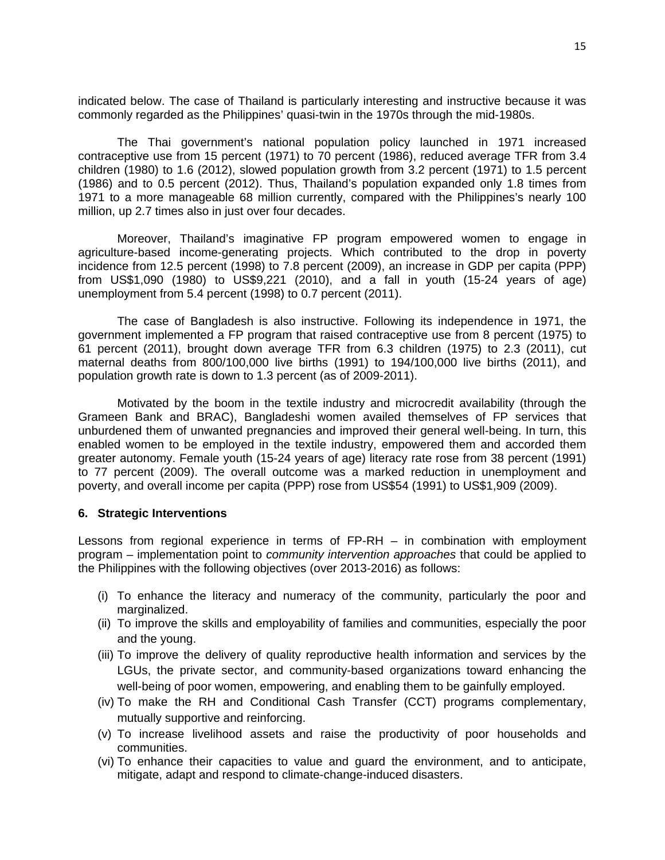indicated below. The case of Thailand is particularly interesting and instructive because it was commonly regarded as the Philippines' quasi-twin in the 1970s through the mid-1980s.

The Thai government's national population policy launched in 1971 increased contraceptive use from 15 percent (1971) to 70 percent (1986), reduced average TFR from 3.4 children (1980) to 1.6 (2012), slowed population growth from 3.2 percent (1971) to 1.5 percent (1986) and to 0.5 percent (2012). Thus, Thailand's population expanded only 1.8 times from 1971 to a more manageable 68 million currently, compared with the Philippines's nearly 100 million, up 2.7 times also in just over four decades.

Moreover, Thailand's imaginative FP program empowered women to engage in agriculture-based income-generating projects. Which contributed to the drop in poverty incidence from 12.5 percent (1998) to 7.8 percent (2009), an increase in GDP per capita (PPP) from US\$1,090 (1980) to US\$9,221 (2010), and a fall in youth (15-24 years of age) unemployment from 5.4 percent (1998) to 0.7 percent (2011).

The case of Bangladesh is also instructive. Following its independence in 1971, the government implemented a FP program that raised contraceptive use from 8 percent (1975) to 61 percent (2011), brought down average TFR from 6.3 children (1975) to 2.3 (2011), cut maternal deaths from 800/100,000 live births (1991) to 194/100,000 live births (2011), and population growth rate is down to 1.3 percent (as of 2009-2011).

Motivated by the boom in the textile industry and microcredit availability (through the Grameen Bank and BRAC), Bangladeshi women availed themselves of FP services that unburdened them of unwanted pregnancies and improved their general well-being. In turn, this enabled women to be employed in the textile industry, empowered them and accorded them greater autonomy. Female youth (15-24 years of age) literacy rate rose from 38 percent (1991) to 77 percent (2009). The overall outcome was a marked reduction in unemployment and poverty, and overall income per capita (PPP) rose from US\$54 (1991) to US\$1,909 (2009).

### **6. Strategic Interventions**

Lessons from regional experience in terms of FP-RH – in combination with employment program – implementation point to *community intervention approaches* that could be applied to the Philippines with the following objectives (over 2013-2016) as follows:

- (i) To enhance the literacy and numeracy of the community, particularly the poor and marginalized.
- (ii) To improve the skills and employability of families and communities, especially the poor and the young.
- (iii) To improve the delivery of quality reproductive health information and services by the LGUs, the private sector, and community-based organizations toward enhancing the well-being of poor women, empowering, and enabling them to be gainfully employed.
- (iv) To make the RH and Conditional Cash Transfer (CCT) programs complementary, mutually supportive and reinforcing.
- (v) To increase livelihood assets and raise the productivity of poor households and communities.
- (vi) To enhance their capacities to value and guard the environment, and to anticipate, mitigate, adapt and respond to climate-change-induced disasters.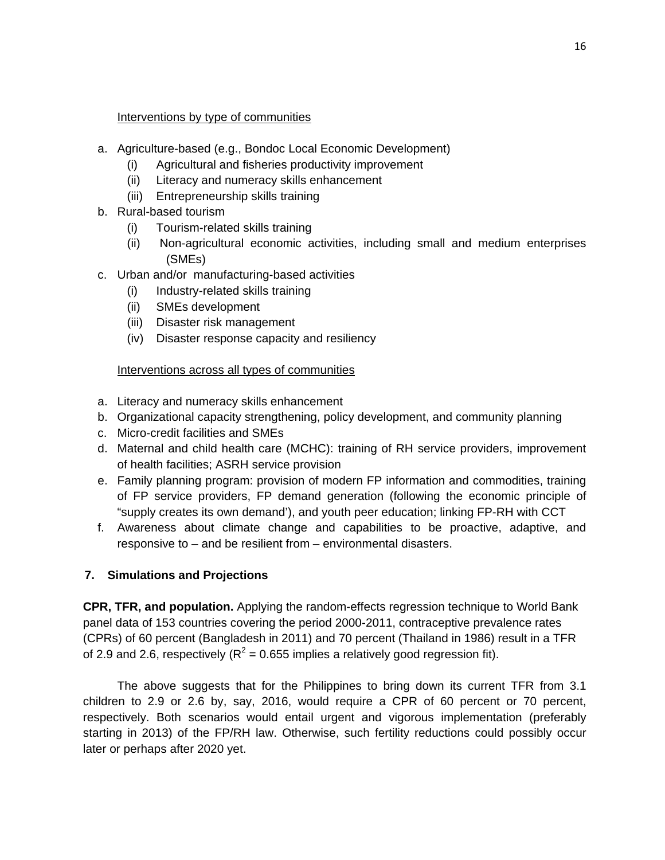#### Interventions by type of communities

- a. Agriculture-based (e.g., Bondoc Local Economic Development)
	- (i) Agricultural and fisheries productivity improvement
	- (ii) Literacy and numeracy skills enhancement
	- (iii) Entrepreneurship skills training
- b. Rural-based tourism
	- (i) Tourism-related skills training
	- (ii) Non-agricultural economic activities, including small and medium enterprises (SMEs)
- c. Urban and/or manufacturing-based activities
	- (i) Industry-related skills training
	- (ii) SMEs development
	- (iii) Disaster risk management
	- (iv) Disaster response capacity and resiliency

### Interventions across all types of communities

- a. Literacy and numeracy skills enhancement
- b. Organizational capacity strengthening, policy development, and community planning
- c. Micro-credit facilities and SMEs
- d. Maternal and child health care (MCHC): training of RH service providers, improvement of health facilities; ASRH service provision
- e. Family planning program: provision of modern FP information and commodities, training of FP service providers, FP demand generation (following the economic principle of "supply creates its own demand'), and youth peer education; linking FP-RH with CCT
- f. Awareness about climate change and capabilities to be proactive, adaptive, and responsive to – and be resilient from – environmental disasters.

### **7. Simulations and Projections**

**CPR, TFR, and population.** Applying the random-effects regression technique to World Bank panel data of 153 countries covering the period 2000-2011, contraceptive prevalence rates (CPRs) of 60 percent (Bangladesh in 2011) and 70 percent (Thailand in 1986) result in a TFR of 2.9 and 2.6, respectively ( $R^2$  = 0.655 implies a relatively good regression fit).

The above suggests that for the Philippines to bring down its current TFR from 3.1 children to 2.9 or 2.6 by, say, 2016, would require a CPR of 60 percent or 70 percent, respectively. Both scenarios would entail urgent and vigorous implementation (preferably starting in 2013) of the FP/RH law. Otherwise, such fertility reductions could possibly occur later or perhaps after 2020 yet.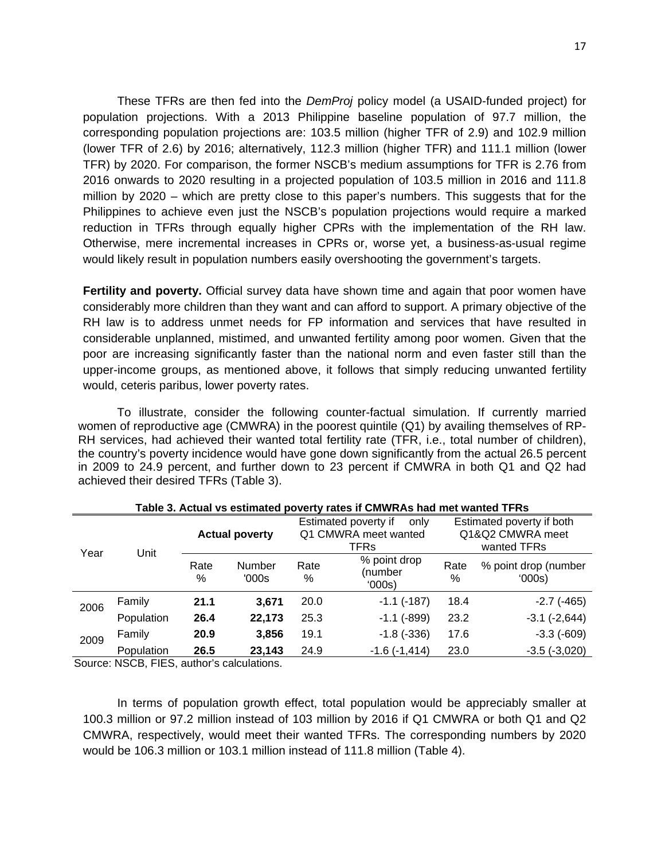These TFRs are then fed into the *DemProj* policy model (a USAID-funded project) for population projections. With a 2013 Philippine baseline population of 97.7 million, the corresponding population projections are: 103.5 million (higher TFR of 2.9) and 102.9 million (lower TFR of 2.6) by 2016; alternatively, 112.3 million (higher TFR) and 111.1 million (lower TFR) by 2020. For comparison, the former NSCB's medium assumptions for TFR is 2.76 from 2016 onwards to 2020 resulting in a projected population of 103.5 million in 2016 and 111.8 million by 2020 – which are pretty close to this paper's numbers. This suggests that for the Philippines to achieve even just the NSCB's population projections would require a marked reduction in TFRs through equally higher CPRs with the implementation of the RH law. Otherwise, mere incremental increases in CPRs or, worse yet, a business-as-usual regime would likely result in population numbers easily overshooting the government's targets.

**Fertility and poverty.** Official survey data have shown time and again that poor women have considerably more children than they want and can afford to support. A primary objective of the RH law is to address unmet needs for FP information and services that have resulted in considerable unplanned, mistimed, and unwanted fertility among poor women. Given that the poor are increasing significantly faster than the national norm and even faster still than the upper-income groups, as mentioned above, it follows that simply reducing unwanted fertility would, ceteris paribus, lower poverty rates.

To illustrate, consider the following counter-factual simulation. If currently married women of reproductive age (CMWRA) in the poorest quintile (Q1) by availing themselves of RP-RH services, had achieved their wanted total fertility rate (TFR, i.e., total number of children), the country's poverty incidence would have gone down significantly from the actual 26.5 percent in 2009 to 24.9 percent, and further down to 23 percent if CMWRA in both Q1 and Q2 had achieved their desired TFRs (Table 3).

|      |            | <b>Actual poverty</b> |                 | Estimated poverty if<br>only<br>Q1 CMWRA meet wanted<br>TFRs |                                   | Estimated poverty if both<br>Q1&Q2 CMWRA meet<br>wanted TFRs |                                |  |
|------|------------|-----------------------|-----------------|--------------------------------------------------------------|-----------------------------------|--------------------------------------------------------------|--------------------------------|--|
| Year | Unit       | Rate<br>%             | Number<br>'000s | Rate<br>%                                                    | % point drop<br>(number<br>'000s) | Rate<br>%                                                    | % point drop (number<br>(000s) |  |
| 2006 | Family     | 21.1                  | 3,671           | 20.0                                                         | $-1.1$ $(-187)$                   | 18.4                                                         | $-2.7$ ( $-465$ )              |  |
|      | Population | 26.4                  | 22,173          | 25.3                                                         | $-1.1$ ( $-899$ )                 | 23.2                                                         | $-3.1$ $(-2,644)$              |  |
| 2009 | Family     | 20.9                  | 3,856           | 19.1                                                         | $-1.8$ $(-336)$                   | 17.6                                                         | $-3.3(-609)$                   |  |
|      | Population | 26.5                  | 23,143          | 24.9                                                         | $-1.6(-1, 414)$                   | 23.0                                                         | $-3.5(-3,020)$                 |  |

#### **Table 3. Actual vs estimated poverty rates if CMWRAs had met wanted TFRs**

Source: NSCB, FIES, author's calculations.

In terms of population growth effect, total population would be appreciably smaller at 100.3 million or 97.2 million instead of 103 million by 2016 if Q1 CMWRA or both Q1 and Q2 CMWRA, respectively, would meet their wanted TFRs. The corresponding numbers by 2020 would be 106.3 million or 103.1 million instead of 111.8 million (Table 4).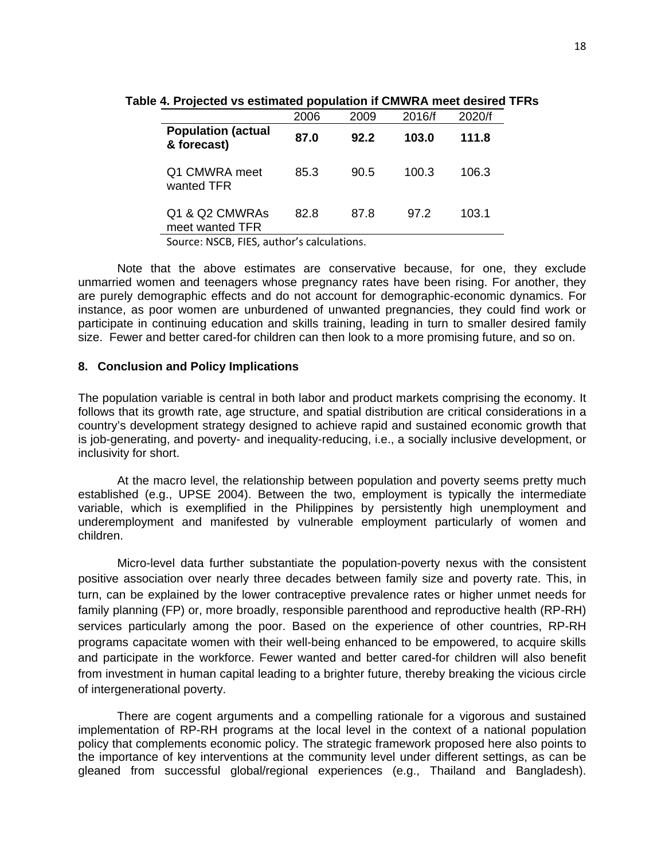|                                          | 2006 | 2009 | 2016/f | 2020/f |
|------------------------------------------|------|------|--------|--------|
| <b>Population (actual</b><br>& forecast) | 87.0 | 92.2 | 103.0  | 111.8  |
| Q1 CMWRA meet<br>wanted TFR              | 85.3 | 90.5 | 100.3  | 106.3  |
| Q1 & Q2 CMWRAs<br>meet wanted TFR        | 82.8 | 87.8 | 97.2   | 103.1  |

**Table 4. Projected vs estimated population if CMWRA meet desired TFRs**

Source: NSCB, FIES, author's calculations.

Note that the above estimates are conservative because, for one, they exclude unmarried women and teenagers whose pregnancy rates have been rising. For another, they are purely demographic effects and do not account for demographic-economic dynamics. For instance, as poor women are unburdened of unwanted pregnancies, they could find work or participate in continuing education and skills training, leading in turn to smaller desired family size. Fewer and better cared-for children can then look to a more promising future, and so on.

#### **8. Conclusion and Policy Implications**

The population variable is central in both labor and product markets comprising the economy. It follows that its growth rate, age structure, and spatial distribution are critical considerations in a country's development strategy designed to achieve rapid and sustained economic growth that is job-generating, and poverty- and inequality-reducing, i.e., a socially inclusive development, or inclusivity for short.

At the macro level, the relationship between population and poverty seems pretty much established (e.g., UPSE 2004). Between the two, employment is typically the intermediate variable, which is exemplified in the Philippines by persistently high unemployment and underemployment and manifested by vulnerable employment particularly of women and children.

Micro-level data further substantiate the population-poverty nexus with the consistent positive association over nearly three decades between family size and poverty rate. This, in turn, can be explained by the lower contraceptive prevalence rates or higher unmet needs for family planning (FP) or, more broadly, responsible parenthood and reproductive health (RP-RH) services particularly among the poor. Based on the experience of other countries, RP-RH programs capacitate women with their well-being enhanced to be empowered, to acquire skills and participate in the workforce. Fewer wanted and better cared-for children will also benefit from investment in human capital leading to a brighter future, thereby breaking the vicious circle of intergenerational poverty.

There are cogent arguments and a compelling rationale for a vigorous and sustained implementation of RP-RH programs at the local level in the context of a national population policy that complements economic policy. The strategic framework proposed here also points to the importance of key interventions at the community level under different settings, as can be gleaned from successful global/regional experiences (e.g., Thailand and Bangladesh).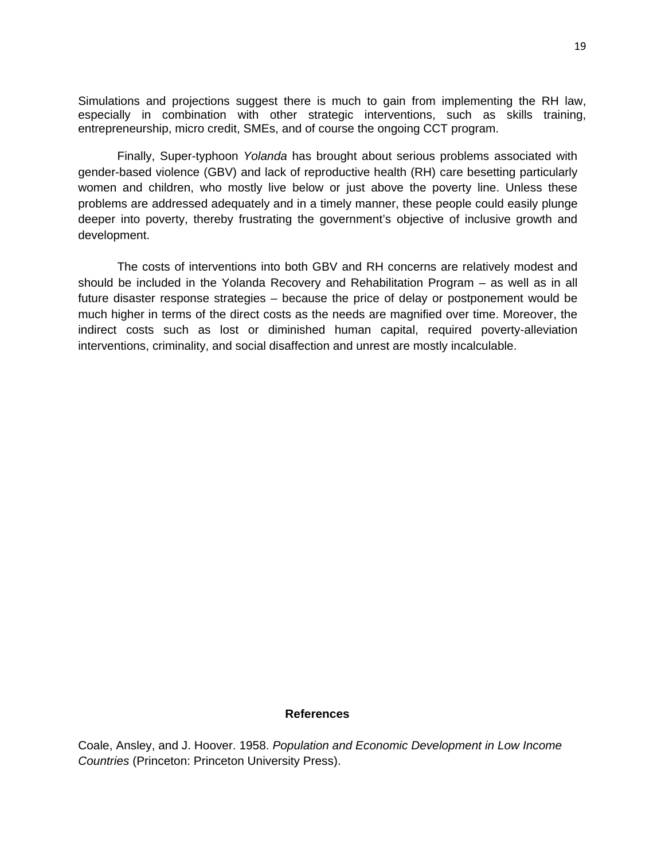Simulations and projections suggest there is much to gain from implementing the RH law, especially in combination with other strategic interventions, such as skills training, entrepreneurship, micro credit, SMEs, and of course the ongoing CCT program.

Finally, Super-typhoon *Yolanda* has brought about serious problems associated with gender-based violence (GBV) and lack of reproductive health (RH) care besetting particularly women and children, who mostly live below or just above the poverty line. Unless these problems are addressed adequately and in a timely manner, these people could easily plunge deeper into poverty, thereby frustrating the government's objective of inclusive growth and development.

The costs of interventions into both GBV and RH concerns are relatively modest and should be included in the Yolanda Recovery and Rehabilitation Program – as well as in all future disaster response strategies – because the price of delay or postponement would be much higher in terms of the direct costs as the needs are magnified over time. Moreover, the indirect costs such as lost or diminished human capital, required poverty-alleviation interventions, criminality, and social disaffection and unrest are mostly incalculable.

#### **References**

Coale, Ansley, and J. Hoover. 1958. *Population and Economic Development in Low Income Countries* (Princeton: Princeton University Press).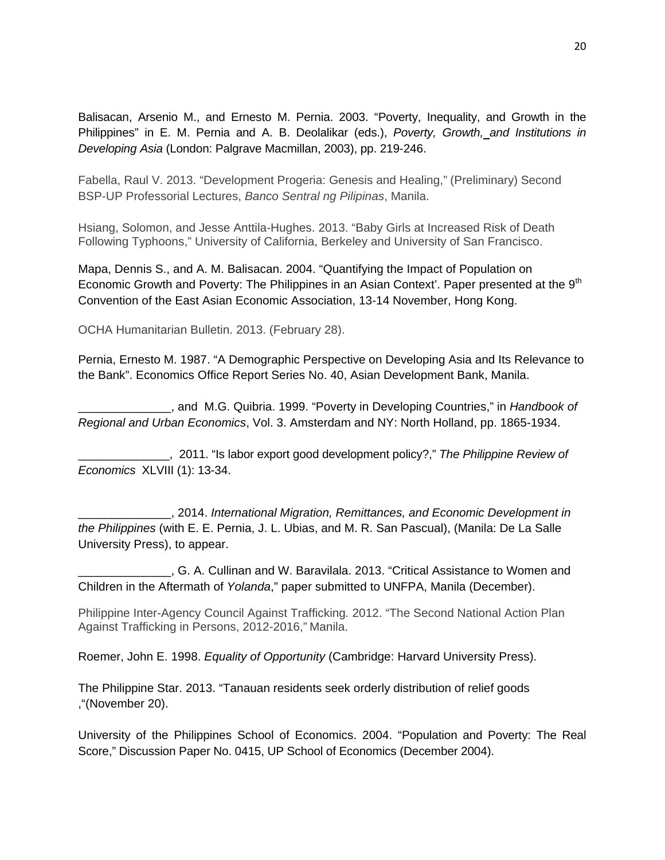Balisacan, Arsenio M., and Ernesto M. Pernia. 2003. "Poverty, Inequality, and Growth in the Philippines" in E. M. Pernia and A. B. Deolalikar (eds.), *Poverty, Growth, and Institutions in Developing Asia* (London: Palgrave Macmillan, 2003), pp. 219-246.

Fabella, Raul V. 2013. "Development Progeria: Genesis and Healing," (Preliminary) Second BSP-UP Professorial Lectures, *Banco Sentral ng Pilipinas*, Manila.

Hsiang, Solomon, and Jesse Anttila-Hughes. 2013. "Baby Girls at Increased Risk of Death Following Typhoons," University of California, Berkeley and University of San Francisco.

Mapa, Dennis S., and A. M. Balisacan. 2004. "Quantifying the Impact of Population on Economic Growth and Poverty: The Philippines in an Asian Context'. Paper presented at the 9<sup>th</sup> Convention of the East Asian Economic Association, 13-14 November, Hong Kong.

OCHA Humanitarian Bulletin. 2013. (February 28).

Pernia, Ernesto M. 1987. "A Demographic Perspective on Developing Asia and Its Relevance to the Bank". Economics Office Report Series No. 40, Asian Development Bank, Manila.

\_\_\_\_\_\_\_\_\_\_\_\_\_\_, and M.G. Quibria. 1999. "Poverty in Developing Countries," in *Handbook of Regional and Urban Economics*, Vol. 3. Amsterdam and NY: North Holland, pp. 1865-1934.

\_\_\_\_\_\_\_\_\_\_\_\_\_\_, 2011. "Is labor export good development policy?," *The Philippine Review of Economics* XLVIII (1): 13-34.

\_\_\_\_\_\_\_\_\_\_\_\_\_\_, 2014. *International Migration, Remittances, and Economic Development in the Philippines* (with E. E. Pernia, J. L. Ubias, and M. R. San Pascual), (Manila: De La Salle University Press), to appear.

\_\_\_\_\_\_\_\_\_\_\_\_\_\_, G. A. Cullinan and W. Baravilala. 2013. "Critical Assistance to Women and Children in the Aftermath of *Yolanda*," paper submitted to UNFPA, Manila (December).

Philippine Inter-Agency Council Against Trafficking*.* 2012. "The Second National Action Plan Against Trafficking in Persons, 2012-2016," Manila.

Roemer, John E. 1998. *Equality of Opportunity* (Cambridge: Harvard University Press).

The Philippine Star. 2013. "Tanauan residents seek orderly distribution of relief goods ,"(November 20).

University of the Philippines School of Economics. 2004. "Population and Poverty: The Real Score," Discussion Paper No. 0415, UP School of Economics (December 2004).